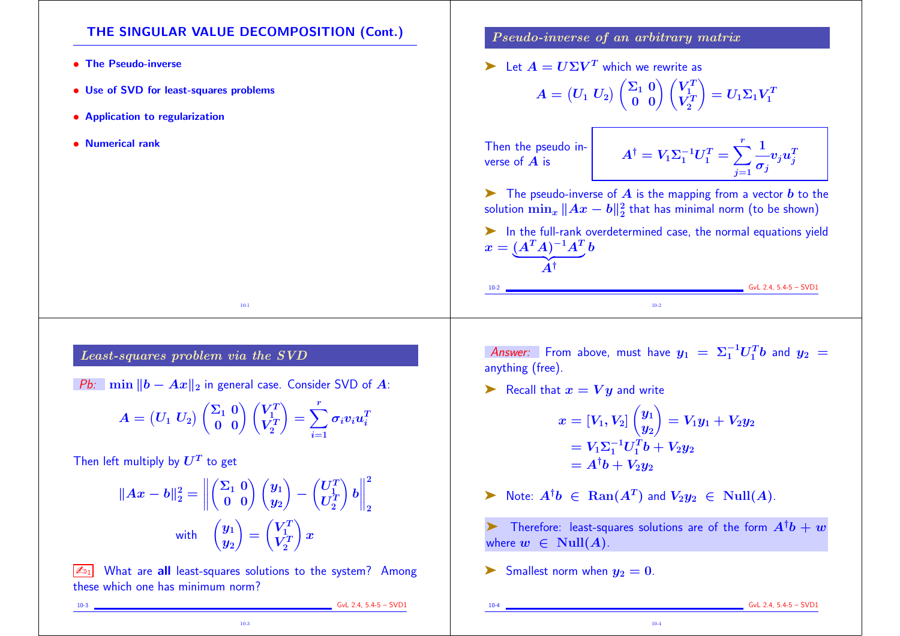## THE SINGULAR VALUE DECOMPOSITION (Cont.)

- The Pseudo-inverse
- Use of SVD for least-squares problems
- Application to regularization
- Numerical rank

## Least-squares problem via the SVD

Pb: min  $||b - Ax||_2$  in general case. Consider SVD of A:

$$
A = \begin{pmatrix} U_1 \ U_2 \end{pmatrix} \begin{pmatrix} \Sigma_1 \ 0 \ 0 \end{pmatrix} \begin{pmatrix} V_1^T \\ V_2^T \end{pmatrix} = \sum_{i=1}^r \sigma_i v_i u_i^T
$$

10-1

Then left multiply by  $\boldsymbol{U^T}$  to get

$$
||Ax - b||_2^2 = \left\| \begin{pmatrix} \Sigma_1 & 0 \\ 0 & 0 \end{pmatrix} \begin{pmatrix} y_1 \\ y_2 \end{pmatrix} - \begin{pmatrix} U_1^T \\ U_2^T \end{pmatrix} b \right\|_2^2
$$
  
with 
$$
\begin{pmatrix} y_1 \\ y_2 \end{pmatrix} = \begin{pmatrix} V_1^T \\ V_2^T \end{pmatrix} x
$$

 $\sqrt{\mathbb{Z}_{D1}}$  What are all least-squares solutions to the system? Among these which one has minimum norm?

10-3

Pseudo-inverse of an arbitrary matrix

 $\blacktriangleright$  Let  $A = U \Sigma V^T$  which we rewrite as

$$
A = \begin{pmatrix} U_1 & U_2 \end{pmatrix} \begin{pmatrix} \Sigma_1 & 0 \\ 0 & 0 \end{pmatrix} \begin{pmatrix} V_1^T \\ V_2^T \end{pmatrix} = U_1 \Sigma_1 V_1^T
$$

Then the pseudo inverse of  $\overline{A}$  is

 $A^{\dagger}$ 

$$
A^\dagger = V_1 \Sigma_1^{-1} U_1^T = \sum_{j=1}^r \frac{1}{\sigma_j} v_j u_j^T
$$

 $\blacktriangleright$  The pseudo-inverse of  $\bm{A}$  is the mapping from a vector  $\bm{b}$  to the solution  $\min_x \|Ax - b\|_2^2$  :  $\frac{2}{2}$  that has minimal norm (to be shown)

➤ In the full-rank overdetermined case, the normal equations yield  $x=(A^TA)^{-1}A^T_{\;\;c}b$  $\overline{A^{\dagger}}$ 

10-2 GvL 2.4, 5.4-5 – SVD1 10-2

Answer: From above, must have  $y_1 \ = \ \Sigma_1^{-1} U_1^T b$  and  $y_2 \ =$ anything (free).

Example 1 Recall that  $x = Vy$  and write

$$
x = [V_1, V_2] \begin{pmatrix} y_1 \\ y_2 \end{pmatrix} = V_1y_1 + V_2y_2
$$
  
=  $V_1\Sigma_1^{-1}U_1^{T}b + V_2y_2$   
=  $A^{\dagger}b + V_2y_2$ 

▶ Note:  $A^{\dagger}b \in \text{Ran}(A^T)$  and  $V_2y_2 \in \text{Null}(A)$ .

ightharpoontal Therefore: least-squares solutions are of the form  $A^{\dagger}b + w$ where  $w \in Null(A)$ .

10-4

Smallest norm when  $y_2 = 0$ .

10-4 GvL 2.4, 5.4-5 – SVD1

10-3 GvL 2.4, 5.4-5 – SVD1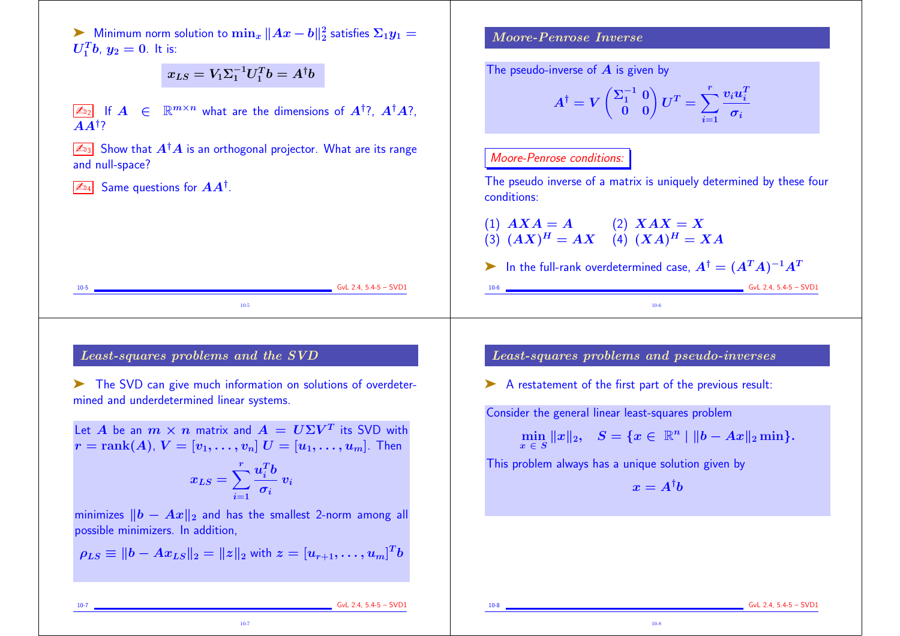► Minimum norm solution to  $\min_x \|Ax - b\|_2^2$  $\frac{2}{2}$  satisfies  $\Sigma_1 y_1 =$  $U_1^T b$ ,  $y_2 = 0$ . It is:

$$
x_{LS}=V_1\Sigma_1^{-1}U_1^Tb=A^{\dagger}b
$$

 $\boxed{\mathbb{Z}_{22}}$  If  $A \in \mathbb{R}^{m \times n}$  what are the dimensions of  $A^{\dagger}$ ?,  $A^{\dagger}A$ ?,  $A$ <sup> $\dagger$ ?</sup>

 $\sqrt{\mathbb{Z}_{33}}$  Show that  $A^{\dagger}A$  is an orthogonal projector. What are its range and null-space?

 $\mathbb{Z}_{\texttt{D4}}$  Same questions for  $AA^\dagger$ .

Moore-Penrose Inverse

The pseudo-inverse of  $\boldsymbol{A}$  is given by

$$
A^{\dagger} = V \begin{pmatrix} \Sigma_1^{-1} & 0 \\ 0 & 0 \end{pmatrix} U^T = \sum_{i=1}^r \frac{v_i u_i^T}{\sigma_i}
$$

## Moore-Penrose conditions:

The pseudo inverse of a matrix is uniquely determined by these four conditions:

(1) 
$$
AXA = A
$$
  
(2)  $XAX = X$   
(3)  $(AX)^H = AX$   
(4)  $(XA)^H = XA$ 

ightharpoonup In the full-rank overdetermined case,  $A^{\dagger} = (A^T A)^{-1} A^T$  $10-6$  GvL 2.4, 5.4-5 – SVD1

10-6

Least-squares problems and the SVD

➤ The SVD can give much information on solutions of overdetermined and underdetermined linear systems.

10-5 GvL 2.4, 5.4-5 – SVD1 10-5

Let A be an  $m \times n$  matrix and  $A = U\Sigma V^T$  its SVD with  $r = \text{rank}(A), V = [v_1, \ldots, v_n]$   $U = [u_1, \ldots, u_m]$ . Then

$$
x_{LS} = \sum_{i=1}^r \frac{u_i^T b}{\sigma_i} v_i
$$

minimizes  $||b - Ax||_2$  and has the smallest 2-norm among all possible minimizers. In addition,

$$
\rho_{LS} \equiv ||b - Ax_{LS}||_2 = ||z||_2 \text{ with } z = [u_{r+1}, \dots, u_m]^T b
$$

10-7

Least-squares problems and pseudo-inverses

➤ A restatement of the first part of the previous result:

Consider the general linear least-squares problem

 $\min$  |  $\min_{x \in S} ||x||_2, \quad S = \{x \in \mathbb{R}^n \mid ||b - Ax||_2 \min \}.$ 

This problem always has a unique solution given by

$$
x = A^{\dagger}b
$$

10-8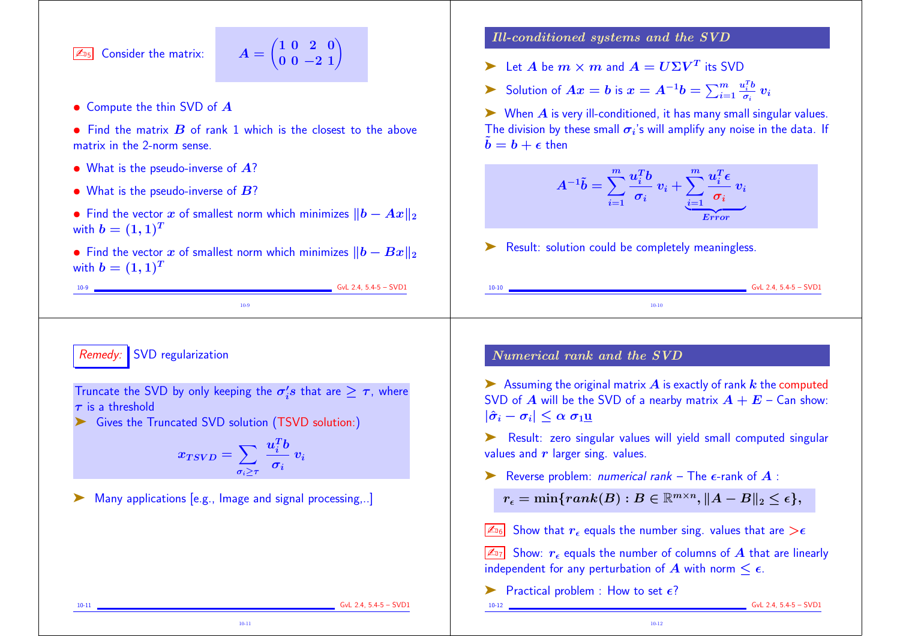$\sqrt{\mathbb{Z}_{25}}$  Consider the matrix:

$$
A=\begin{pmatrix}1&0&2&0\\0&0&-2&1\end{pmatrix}
$$

- Compute the thin SVD of A
- Find the matrix  $\bf{B}$  of rank 1 which is the closest to the above matrix in the 2-norm sense.
- What is the pseudo-inverse of  $\overline{A}$ ?
- What is the pseudo-inverse of  $B$ ?
- Find the vector x of smallest norm which minimizes  $||b Ax||_2$ with  $b = (1, 1)^T$
- Find the vector x of smallest norm which minimizes  $||b Bx||_2$ with  $b = (1, 1)^T$

10-9

10-9 GvL 2.4, 5.4-5 – SVD1

Remedy: SVD regularization

Truncate the SVD by only keeping the  $\sigma_i's$  that are  $\geq \tau$ , where  $\tau$  is a threshold

➤ Gives the Truncated SVD solution (TSVD solution:)

$$
x_{TSVD} = \sum_{\sigma_i \geq \tau} \frac{u_i^T b}{\sigma_i} v_i
$$

10-11

➤ Many applications [e.g., Image and signal processing,..]

Ill-conditioned systems and the SVD

- $\blacktriangleright$  Let  $A$  be  $m \times m$  and  $A = U \Sigma V^T$  its SVD
- ► Solution of  $Ax = b$  is  $x = A^{-1}b = \sum_{i=1}^{m} \frac{1}{2}$  $u_i^T b$  $\frac{v_i}{\sigma_i}$   $v_i$

 $\triangleright$  When A is very ill-conditioned, it has many small singular values. The division by these small  $\sigma_i$ 's will amplify any noise in the data. If  $\tilde{b} = b + \epsilon$  then

$$
A^{-1}\tilde{b}=\sum_{i=1}^{m}\frac{u_i^Tb}{\sigma_i}\ v_i+\underbrace{\sum_{i=1}^{m}\frac{u_i^T\epsilon}{\sigma_i}\ v_i}_{Error}
$$

► Result: solution could be completely meaningless.

Numerical rank and the SVD

 $\blacktriangleright$  Assuming the original matrix  $\hat{A}$  is exactly of rank  $k$  the computed SVD of A will be the SVD of a nearby matrix  $A + E -$  Can show:  $|\hat{\sigma}_i - \sigma_i| \leq \alpha \sigma_1$ u

10-10 GvL 2.4, 5.4-5 – SVD1 10-10

➤ Result: zero singular values will yield small computed singular values and  $r$  larger sing. values.

Exercise problem: *numerical rank* – The  $\epsilon$ -rank of  $\boldsymbol{A}$  :

 $r_{\epsilon} = \min\{rank(B) : B \in \mathbb{R}^{m \times n}, \|A - B\|_2 \leq \epsilon\},$ 

 $\sqrt{\mathbb{Z}_{06}}$  Show that  $r_{\epsilon}$  equals the number sing. values that are  $>\epsilon$ 

 $\boxed{\mathbb{Z}_{7}}$  Show:  $r_{\epsilon}$  equals the number of columns of A that are linearly independent for any perturbation of  $\vec{A}$  with norm  $\leq \epsilon$ .

10-12

 $\blacktriangleright$  Practical problem : How to set  $\epsilon$ ?

10-12 GvL 2.4, 5.4-5 – SVD1

10-11 **GvL 2.4, 5.4-5 – SVD1**